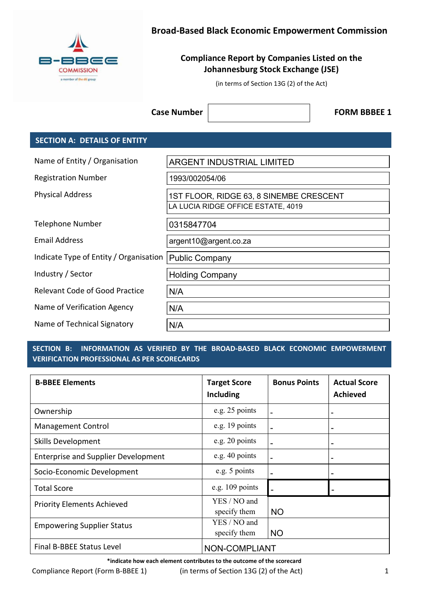

# Broad-Based Black Economic Empowerment Commission

# Compliance Report by Companies Listed on the Johannesburg Stock Exchange (JSE)

(in terms of Section 13G (2) of the Act)

Case Number | The Case Number | The Case Number | The Case Number | The FORM BBBEE 1

## SECTION A: DETAILS OF ENTITY

| 1993/002054/06<br>1ST FLOOR, RIDGE 63, 8 SINEMBE CRESCENT<br>LA LUCIA RIDGE OFFICE ESTATE, 4019<br>0315847704<br>argent10@argent.co.za<br>Indicate Type of Entity / Organisation<br><b>Public Company</b><br><b>Holding Company</b><br>N/A<br>N/A<br>N/A | Name of Entity / Organisation         | <b>ARGENT INDUSTRIAL LIMITED</b> |
|----------------------------------------------------------------------------------------------------------------------------------------------------------------------------------------------------------------------------------------------------------|---------------------------------------|----------------------------------|
|                                                                                                                                                                                                                                                          | <b>Registration Number</b>            |                                  |
|                                                                                                                                                                                                                                                          | <b>Physical Address</b>               |                                  |
|                                                                                                                                                                                                                                                          | <b>Telephone Number</b>               |                                  |
|                                                                                                                                                                                                                                                          | <b>Email Address</b>                  |                                  |
|                                                                                                                                                                                                                                                          |                                       |                                  |
|                                                                                                                                                                                                                                                          | Industry / Sector                     |                                  |
|                                                                                                                                                                                                                                                          | <b>Relevant Code of Good Practice</b> |                                  |
|                                                                                                                                                                                                                                                          | Name of Verification Agency           |                                  |
|                                                                                                                                                                                                                                                          | Name of Technical Signatory           |                                  |

## SECTION B: INFORMATION AS VERIFIED BY THE BROAD-BASED BLACK ECONOMIC EMPOWERMENT VERIFICATION PROFESSIONAL AS PER SCORECARDS

| Name of Technical Signatory                                             | N/A                                                                    |                     |                                        |  |
|-------------------------------------------------------------------------|------------------------------------------------------------------------|---------------------|----------------------------------------|--|
| <b>SECTION B:</b><br><b>VERIFICATION PROFESSIONAL AS PER SCORECARDS</b> | INFORMATION AS VERIFIED BY THE BROAD-BASED BLACK ECONOMIC EMPOWERMENT  |                     |                                        |  |
| <b>B-BBEE Elements</b>                                                  | <b>Target Score</b><br><b>Including</b>                                | <b>Bonus Points</b> | <b>Actual Score</b><br><b>Achieved</b> |  |
| Ownership                                                               | e.g. 25 points                                                         |                     |                                        |  |
| Management Control                                                      | e.g. 19 points                                                         |                     |                                        |  |
| <b>Skills Development</b>                                               | e.g. 20 points                                                         |                     |                                        |  |
| <b>Enterprise and Supplier Development</b>                              | e.g. 40 points                                                         |                     |                                        |  |
| Socio-Economic Development                                              | e.g. 5 points                                                          |                     |                                        |  |
| <b>Total Score</b>                                                      | e.g. 109 points                                                        |                     |                                        |  |
| <b>Priority Elements Achieved</b>                                       | YES / NO and<br>specify them                                           | <b>NO</b>           |                                        |  |
| <b>Empowering Supplier Status</b>                                       | YES / NO and<br>specify them                                           | <b>NO</b>           |                                        |  |
| Final B-BBEE Status Level                                               | NON-COMPLIANT                                                          |                     |                                        |  |
| $Contribution \ge 0$                                                    | *indicate how each element contributes to the outcome of the scorecard |                     |                                        |  |

Compliance Report (Form B-BBEE 1) (in terms of Section 13G (2) of the Act) 1